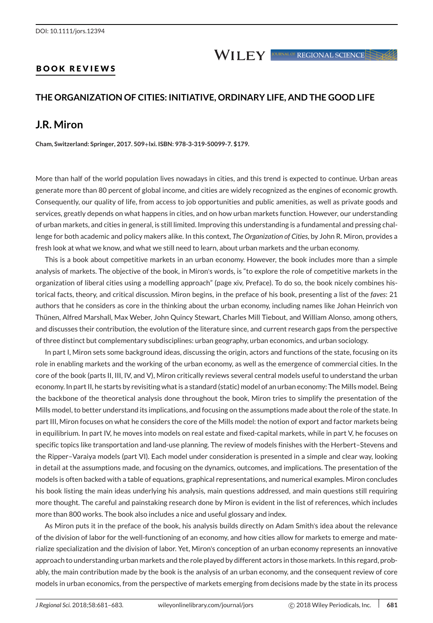**WILEY IOURNAL OF REGIONAL SCIENCE** 

### **BOOK REVIEWS**

### **THE ORGANIZATION OF CITIES: INITIATIVE, ORDINARY LIFE, AND THE GOOD LIFE**

# **J.R. Miron**

**Cham, Switzerland: Springer, 2017. 509**+**lxi. ISBN: 978-3-319-50099-7. \$179.**

More than half of the world population lives nowadays in cities, and this trend is expected to continue. Urban areas generate more than 80 percent of global income, and cities are widely recognized as the engines of economic growth. Consequently, our quality of life, from access to job opportunities and public amenities, as well as private goods and services, greatly depends on what happens in cities, and on how urban markets function. However, our understanding of urban markets, and cities in general, is still limited. Improving this understanding is a fundamental and pressing challenge for both academic and policy makers alike. In this context, *The Organization of Cities*, by John R. Miron, provides a fresh look at what we know, and what we still need to learn, about urban markets and the urban economy.

This is a book about competitive markets in an urban economy. However, the book includes more than a simple analysis of markets. The objective of the book, in Miron's words, is "to explore the role of competitive markets in the organization of liberal cities using a modelling approach" (page xiv, Preface). To do so, the book nicely combines historical facts, theory, and critical discussion. Miron begins, in the preface of his book, presenting a list of the *faves*: 21 authors that he considers as core in the thinking about the urban economy, including names like Johan Heinrich von Thünen, Alfred Marshall, Max Weber, John Quincy Stewart, Charles Mill Tiebout, and William Alonso, among others, and discusses their contribution, the evolution of the literature since, and current research gaps from the perspective of three distinct but complementary subdisciplines: urban geography, urban economics, and urban sociology.

In part I, Miron sets some background ideas, discussing the origin, actors and functions of the state, focusing on its role in enabling markets and the working of the urban economy, as well as the emergence of commercial cities. In the core of the book (parts II, III, IV, and V), Miron critically reviews several central models useful to understand the urban economy. In part II, he starts by revisiting what is a standard (static) model of an urban economy: The Mills model. Being the backbone of the theoretical analysis done throughout the book, Miron tries to simplify the presentation of the Mills model, to better understand its implications, and focusing on the assumptions made about the role of the state. In part III, Miron focuses on what he considers the core of the Mills model: the notion of export and factor markets being in equilibrium. In part IV, he moves into models on real estate and fixed-capital markets, while in part V, he focuses on specific topics like transportation and land-use planning. The review of models finishes with the Herbert–Stevens and the Ripper–Varaiya models (part VI). Each model under consideration is presented in a simple and clear way, looking in detail at the assumptions made, and focusing on the dynamics, outcomes, and implications. The presentation of the models is often backed with a table of equations, graphical representations, and numerical examples. Miron concludes his book listing the main ideas underlying his analysis, main questions addressed, and main questions still requiring more thought. The careful and painstaking research done by Miron is evident in the list of references, which includes more than 800 works. The book also includes a nice and useful glossary and index.

As Miron puts it in the preface of the book, his analysis builds directly on Adam Smith's idea about the relevance of the division of labor for the well-functioning of an economy, and how cities allow for markets to emerge and materialize specialization and the division of labor. Yet, Miron's conception of an urban economy represents an innovative approach to understanding urban markets and the role played by different actors in those markets. In this regard, probably, the main contribution made by the book is the analysis of an urban economy, and the consequent review of core models in urban economics, from the perspective of markets emerging from decisions made by the state in its process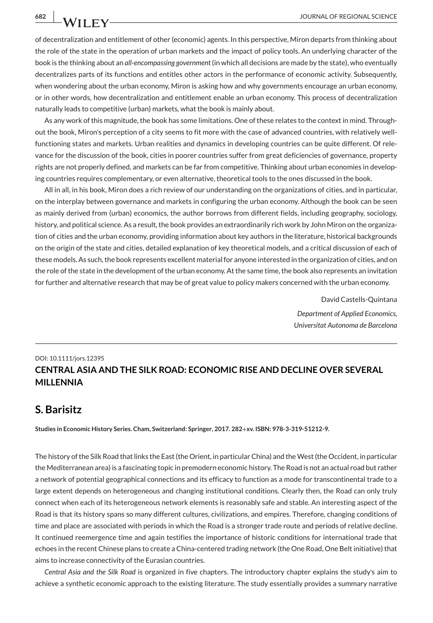of decentralization and entitlement of other (economic) agents. In this perspective, Miron departs from thinking about the role of the state in the operation of urban markets and the impact of policy tools. An underlying character of the book is the thinking about an *all-encompassing government*(in which all decisions are made by the state), who eventually decentralizes parts of its functions and entitles other actors in the performance of economic activity. Subsequently, when wondering about the urban economy, Miron is asking how and why governments encourage an urban economy, or in other words, how decentralization and entitlement enable an urban economy. This process of decentralization naturally leads to competitive (urban) markets, what the book is mainly about.

As any work of this magnitude, the book has some limitations. One of these relates to the context in mind. Throughout the book, Miron's perception of a city seems to fit more with the case of advanced countries, with relatively wellfunctioning states and markets. Urban realities and dynamics in developing countries can be quite different. Of relevance for the discussion of the book, cities in poorer countries suffer from great deficiencies of governance, property rights are not properly defined, and markets can be far from competitive. Thinking about urban economies in developing countries requires complementary, or even alternative, theoretical tools to the ones discussed in the book.

All in all, in his book, Miron does a rich review of our understanding on the organizations of cities, and in particular, on the interplay between governance and markets in configuring the urban economy. Although the book can be seen as mainly derived from (urban) economics, the author borrows from different fields, including geography, sociology, history, and political science. As a result, the book provides an extraordinarily rich work by John Miron on the organization of cities and the urban economy, providing information about key authors in the literature, historical backgrounds on the origin of the state and cities, detailed explanation of key theoretical models, and a critical discussion of each of these models. As such, the book represents excellent material for anyone interested in the organization of cities, and on the role of the state in the development of the urban economy. At the same time, the book also represents an invitation for further and alternative research that may be of great value to policy makers concerned with the urban economy.

> David Castells-Quintana *Department of Applied Economics, Universitat Autonoma de Barcelona*

## DOI: 10.1111/jors.12395 **CENTRAL ASIA AND THE SILK ROAD: ECONOMIC RISE AND DECLINE OVER SEVERAL MILLENNIA**

### **S. Barisitz**

**Studies in Economic History Series. Cham, Switzerland: Springer, 2017. 282**+**xv. ISBN: 978-3-319-51212-9.**

The history of the Silk Road that links the East (the Orient, in particular China) and theWest (the Occident, in particular the Mediterranean area) is a fascinating topic in premodern economic history. The Road is not an actual road but rather a network of potential geographical connections and its efficacy to function as a mode for transcontinental trade to a large extent depends on heterogeneous and changing institutional conditions. Clearly then, the Road can only truly connect when each of its heterogeneous network elements is reasonably safe and stable. An interesting aspect of the Road is that its history spans so many different cultures, civilizations, and empires. Therefore, changing conditions of time and place are associated with periods in which the Road is a stronger trade route and periods of relative decline. It continued reemergence time and again testifies the importance of historic conditions for international trade that echoes in the recent Chinese plans to create a China-centered trading network (the One Road, One Belt initiative) that aims to increase connectivity of the Eurasian countries.

*Central Asia and the Silk Road* is organized in five chapters. The introductory chapter explains the study's aim to achieve a synthetic economic approach to the existing literature. The study essentially provides a summary narrative